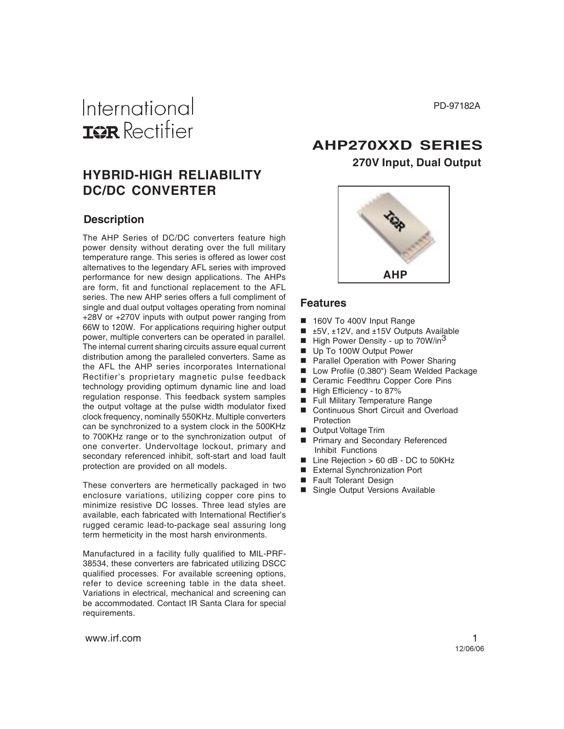PD-97182A

## International **IGR** Rectifier

## **HYBRID-HIGH RELIABILITY DC/DC CONVERTER**

#### **Description**

The AHP Series of DC/DC converters feature high power density without derating over the full military temperature range. This series is offered as lower cost alternatives to the legendary AFL series with improved performance for new design applications. The AHPs are form, fit and functional replacement to the AFL series. The new AHP series offers a full compliment of single and dual output voltages operating from nominal +28V or +270V inputs with output power ranging from 66W to 120W. For applications requiring higher output power, multiple converters can be operated in parallel. The internal current sharing circuits assure equal current distribution among the paralleled converters. Same as the AFL the AHP series incorporates International Rectifier's proprietary magnetic pulse feedback technology providing optimum dynamic line and load regulation response. This feedback system samples the output voltage at the pulse width modulator fixed clock frequency, nominally 550KHz. Multiple converters can be synchronized to a system clock in the 500KHz to 700KHz range or to the synchronization output of one converter. Undervoltage lockout, primary and secondary referenced inhibit, soft-start and load fault protection are provided on all models.

These converters are hermetically packaged in two enclosure variations, utilizing copper core pins to minimize resistive DC losses. Three lead styles are available, each fabricated with International Rectifier's rugged ceramic lead-to-package seal assuring long term hermeticity in the most harsh environments.

Manufactured in a facility fully qualified to MIL-PRF-38534, these converters are fabricated utilizing DSCC qualified processes. For available screening options, refer to device screening table in the data sheet. Variations in electrical, mechanical and screening can be accommodated. Contact IR Santa Clara for special requirements.

## **AHP270XXD SERIES 270V Input, Dual Output**



#### **Features**

- 160V To 400V Input Range
- ±5V, ±12V, and ±15V Outputs Available
- High Power Density up to 70W/in<sup>3</sup>
- Up To 100W Output Power
- **Parallel Operation with Power Sharing**
- Low Profile (0.380") Seam Welded Package
- Ceramic Feedthru Copper Core Pins
- High Efficiency to 87%
- Full Military Temperature Range
- Continuous Short Circuit and Overload **Protection**
- Output Voltage Trim
- **Primary and Secondary Referenced** Inhibit Functions
- Line Rejection > 60 dB DC to 50KHz
- External Synchronization Port
- Fault Tolerant Design
- Single Output Versions Available

www.irf.com 1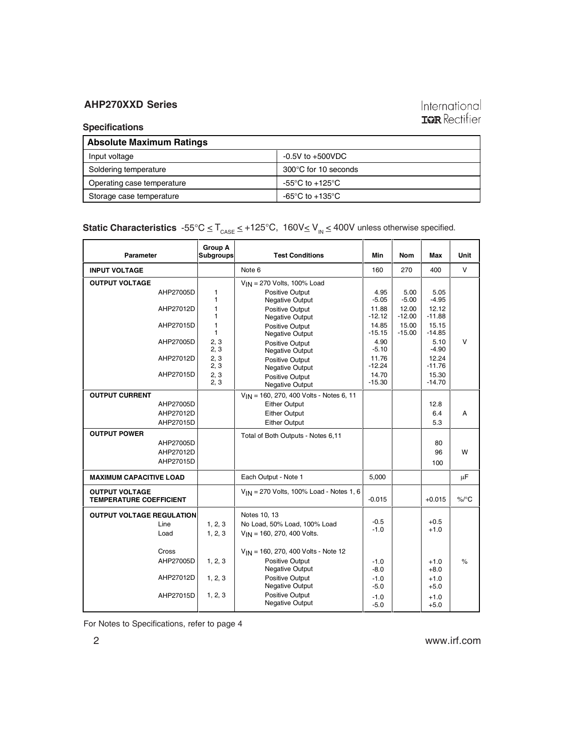### International **IGR** Rectifier

#### **Specifications**

| <b>Absolute Maximum Ratings</b> |                                                       |  |  |  |
|---------------------------------|-------------------------------------------------------|--|--|--|
| Input voltage                   | $-0.5V$ to $+500VDC$                                  |  |  |  |
| Soldering temperature           | 300°C for 10 seconds                                  |  |  |  |
| Operating case temperature      | $-55^{\circ}$ C to $+125^{\circ}$ C                   |  |  |  |
| Storage case temperature        | -65 $\mathrm{^{\circ}C}$ to +135 $\mathrm{^{\circ}C}$ |  |  |  |

**Static Characteristics**  $-55^{\circ}C \leq T_{\text{CASE}} \leq +125^{\circ}C$ ,  $160V \leq V_{\text{IN}} \leq 400V$  unless otherwise specified.

| Parameter                                               |           | Group A<br><b>Subgroups</b> | <b>Test Conditions</b>                       | Min               | <b>Nom</b>        | Max               | Unit     |
|---------------------------------------------------------|-----------|-----------------------------|----------------------------------------------|-------------------|-------------------|-------------------|----------|
| <b>INPUT VOLTAGE</b>                                    |           |                             | Note 6                                       | 160               | 270               | 400               | v        |
| <b>OUTPUT VOLTAGE</b>                                   |           |                             | V <sub>IN</sub> = 270 Volts, 100% Load       |                   |                   |                   |          |
|                                                         | AHP27005D | 1<br>1                      | Positive Output<br>Negative Output           | 4.95<br>$-5.05$   | 5.00<br>$-5.00$   | 5.05<br>$-4.95$   |          |
|                                                         | AHP27012D | 1<br>1                      | Positive Output<br>Negative Output           | 11.88<br>-12.12   | 12.00<br>-12.00   | 12.12<br>$-11.88$ |          |
|                                                         | AHP27015D | 1<br>1                      | Positive Output<br>Negative Output           | 14.85<br>$-15.15$ | 15.00<br>$-15.00$ | 15.15<br>$-14.85$ |          |
|                                                         | AHP27005D | 2, 3<br>2, 3                | Positive Output<br>Negative Output           | 4.90<br>$-5.10$   |                   | 5.10<br>$-4.90$   | v        |
|                                                         | AHP27012D | 2, 3<br>2, 3                | Positive Output<br>Negative Output           | 11.76<br>$-12.24$ |                   | 12.24<br>$-11.76$ |          |
|                                                         | AHP27015D | 2, 3<br>2, 3                | Positive Output<br>Negative Output           | 14.70<br>$-15.30$ |                   | 15.30<br>$-14.70$ |          |
| <b>OUTPUT CURRENT</b>                                   |           |                             | $V_{IN}$ = 160, 270, 400 Volts - Notes 6, 11 |                   |                   |                   |          |
|                                                         | AHP27005D |                             | <b>Either Output</b>                         |                   |                   | 12.8              |          |
|                                                         | AHP27012D |                             | <b>Either Output</b>                         |                   |                   | 6.4               | А        |
|                                                         | AHP27015D |                             | <b>Either Output</b>                         |                   |                   | 5.3               |          |
| <b>OUTPUT POWER</b>                                     |           |                             | Total of Both Outputs - Notes 6,11           |                   |                   |                   |          |
|                                                         | AHP27005D |                             |                                              |                   |                   | 80                |          |
|                                                         | AHP27012D |                             |                                              |                   |                   | 96                | W        |
|                                                         | AHP27015D |                             |                                              |                   |                   | 100               |          |
| <b>MAXIMUM CAPACITIVE LOAD</b>                          |           |                             | Each Output - Note 1                         | 5,000             |                   |                   | μF       |
| <b>OUTPUT VOLTAGE</b><br><b>TEMPERATURE COEFFICIENT</b> |           |                             | $V_{IN}$ = 270 Volts, 100% Load - Notes 1, 6 | $-0.015$          |                   | $+0.015$          | $\%$ /°C |
| <b>OUTPUT VOLTAGE REGULATION</b>                        |           |                             | Notes 10, 13                                 |                   |                   |                   |          |
|                                                         | Line      | 1, 2, 3                     | No Load, 50% Load, 100% Load                 | $-0.5$            |                   | $+0.5$            |          |
|                                                         | Load      | 1, 2, 3                     | $V_{IN}$ = 160, 270, 400 Volts.              | $-1.0$            |                   | $+1.0$            |          |
|                                                         |           |                             |                                              |                   |                   |                   |          |
|                                                         | Cross     |                             | $V_{IN}$ = 160, 270, 400 Volts - Note 12     |                   |                   |                   |          |
|                                                         | AHP27005D | 1, 2, 3                     | Positive Output<br>Negative Output           | $-1.0$<br>$-8.0$  |                   | $+1.0$<br>$+8.0$  | $\%$     |
|                                                         | AHP27012D | 1, 2, 3                     | Positive Output<br>Negative Output           | $-1.0$<br>$-5.0$  |                   | $+1.0$<br>$+5.0$  |          |
|                                                         | AHP27015D | 1, 2, 3                     | Positive Output<br>Negative Output           | $-1.0$<br>$-5.0$  |                   | $+1.0$<br>$+5.0$  |          |

For Notes to Specifications, refer to page 4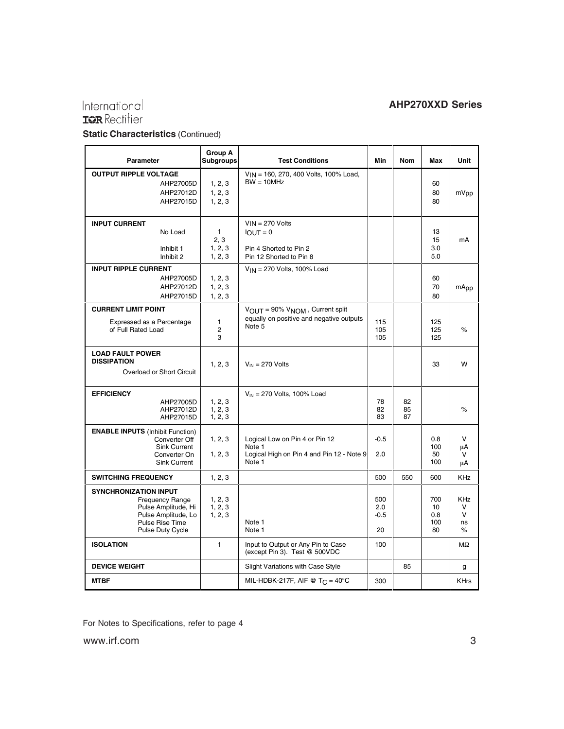## International<br>**IGR** Rectifier

 $\mathcal{L}^{\pm}$ 

#### **AHP270XXD Series**

 $\blacksquare$ 

**Static Characteristics** (Continued)  $\blacksquare$ 

| <b>Parameter</b>                                                                                                                            |                                                                             | Group A<br>Subgroups                       | <b>Test Conditions</b>                                                                          | Min                        | <b>Nom</b>     | Max                           | Unit                               |
|---------------------------------------------------------------------------------------------------------------------------------------------|-----------------------------------------------------------------------------|--------------------------------------------|-------------------------------------------------------------------------------------------------|----------------------------|----------------|-------------------------------|------------------------------------|
| <b>OUTPUT RIPPLE VOLTAGE</b>                                                                                                                | AHP27005D<br>AHP27012D<br>AHP27015D                                         | 1, 2, 3<br>1, 2, 3<br>1, 2, 3              | VIN = 160, 270, 400 Volts, 100% Load,<br>$BW = 10MHz$                                           |                            |                | 60<br>80<br>80                | mVpp                               |
| <b>INPUT CURRENT</b><br>Inhibit 1<br>Inhibit 2                                                                                              | No Load                                                                     | $\mathbf{1}$<br>2, 3<br>1, 2, 3<br>1, 2, 3 | $V_{IN}$ = 270 Volts<br>$IOUT = 0$<br>Pin 4 Shorted to Pin 2<br>Pin 12 Shorted to Pin 8         |                            |                | 13<br>15<br>3.0<br>5.0        | mA                                 |
| <b>INPUT RIPPLE CURRENT</b>                                                                                                                 | AHP27005D<br>AHP27012D<br>AHP27015D                                         | 1, 2, 3<br>1, 2, 3<br>1, 2, 3              | $V_{IN}$ = 270 Volts, 100% Load                                                                 |                            |                | 60<br>70<br>80                | mApp                               |
| <b>CURRENT LIMIT POINT</b><br>Expressed as a Percentage<br>of Full Rated Load                                                               |                                                                             | 1<br>2<br>3                                | VOUT = 90% VNOM, Current split<br>equally on positive and negative outputs<br>Note 5            | 115<br>105<br>105          |                | 125<br>125<br>125             | $\%$                               |
| <b>LOAD FAULT POWER</b><br><b>DISSIPATION</b><br>Overload or Short Circuit                                                                  |                                                                             | 1, 2, 3                                    | $V_{IN}$ = 270 Volts                                                                            |                            |                | 33                            | W                                  |
| <b>EFFICIENCY</b>                                                                                                                           | AHP27005D<br>AHP27012D<br>AHP27015D                                         | 1, 2, 3<br>1, 2, 3<br>1, 2, 3              | $V_{IN}$ = 270 Volts, 100% Load                                                                 | 78<br>82<br>83             | 82<br>85<br>87 |                               | $\%$                               |
| <b>ENABLE INPUTS (Inhibit Function)</b>                                                                                                     | Converter Off<br><b>Sink Current</b><br>Converter On<br><b>Sink Current</b> | 1, 2, 3<br>1, 2, 3                         | Logical Low on Pin 4 or Pin 12<br>Note 1<br>Logical High on Pin 4 and Pin 12 - Note 9<br>Note 1 | $-0.5$<br>2.0              |                | 0.8<br>100<br>50<br>100       | v<br>μA<br>v<br>μA                 |
| <b>SWITCHING FREQUENCY</b>                                                                                                                  |                                                                             | 1, 2, 3                                    |                                                                                                 | 500                        | 550            | 600                           | KHz                                |
| <b>SYNCHRONIZATION INPUT</b><br><b>Frequency Range</b><br>Pulse Amplitude, Hi<br>Pulse Amplitude, Lo<br>Pulse Rise Time<br>Pulse Duty Cycle |                                                                             | 1, 2, 3<br>1, 2, 3<br>1, 2, 3              | Note 1<br>Note 1                                                                                | 500<br>2.0<br>$-0.5$<br>20 |                | 700<br>10<br>0.8<br>100<br>80 | <b>KHz</b><br>v<br>v<br>ns<br>$\%$ |
| <b>ISOLATION</b>                                                                                                                            |                                                                             | 1                                          | Input to Output or Any Pin to Case<br>(except Pin 3). Test @ 500VDC                             | 100                        |                |                               | $M\Omega$                          |
| <b>DEVICE WEIGHT</b>                                                                                                                        |                                                                             |                                            | <b>Slight Variations with Case Style</b>                                                        |                            | 85             |                               | g                                  |
| <b>MTBF</b>                                                                                                                                 |                                                                             |                                            | MIL-HDBK-217F, AIF @ T <sub>C</sub> = 40°C                                                      | 300                        |                |                               | <b>KHrs</b>                        |

For Notes to Specifications, refer to page 4

www.irf.com 3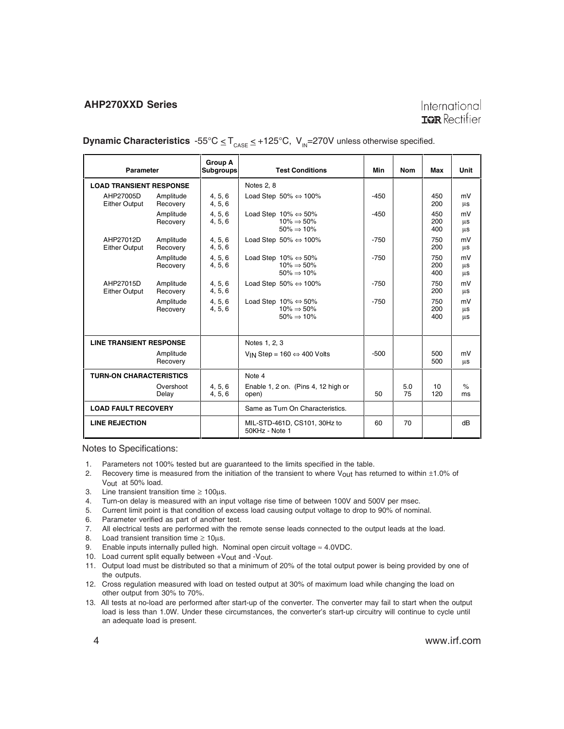#### International **TOR** Rectifier

**Dynamic Characteristics**  $-55^{\circ}C \leq T_{\text{case}} \leq +125^{\circ}C$ ,  $V_{\text{in}} = 270V$  unless otherwise specified.

| <b>Parameter</b>                  |                       | <b>Group A</b><br><b>Subgroups</b> | <b>Test Conditions</b>                                                                      | Min    | <b>Nom</b> | Max               | Unit           |
|-----------------------------------|-----------------------|------------------------------------|---------------------------------------------------------------------------------------------|--------|------------|-------------------|----------------|
| <b>LOAD TRANSIENT RESPONSE</b>    |                       |                                    | Notes 2, 8                                                                                  |        |            |                   |                |
| AHP27005D<br><b>Either Output</b> | Amplitude<br>Recovery | 4, 5, 6<br>4, 5, 6                 | Load Step 50% $\Leftrightarrow$ 100%                                                        | $-450$ |            | 450<br>200        | mV<br>$\mu s$  |
|                                   | Amplitude<br>Recovery | 4, 5, 6<br>4.5.6                   | Load Step $10\% \Leftrightarrow 50\%$<br>$10\% \Rightarrow 50\%$<br>$50\% \Rightarrow 10\%$ | $-450$ |            | 450<br>200<br>400 | mV<br>μs<br>μs |
| AHP27012D<br><b>Either Output</b> | Amplitude<br>Recovery | 4, 5, 6<br>4, 5, 6                 | Load Step 50% $\Leftrightarrow$ 100%                                                        | $-750$ |            | 750<br>200        | mV<br>$\mu s$  |
|                                   | Amplitude<br>Recovery | 4, 5, 6<br>4, 5, 6                 | Load Step $10\% \Leftrightarrow 50\%$<br>$10\% \Rightarrow 50\%$<br>$50\% \Rightarrow 10\%$ | $-750$ |            | 750<br>200<br>400 | mV<br>μs<br>μs |
| AHP27015D<br><b>Either Output</b> | Amplitude<br>Recovery | 4, 5, 6<br>4, 5, 6                 | Load Step 50% $\Leftrightarrow$ 100%                                                        | $-750$ |            | 750<br>200        | mV<br>μs       |
|                                   | Amplitude<br>Recovery | 4, 5, 6<br>4, 5, 6                 | Load Step $10\% \Leftrightarrow 50\%$<br>$10\% \Rightarrow 50\%$<br>$50\% \Rightarrow 10\%$ | $-750$ |            | 750<br>200<br>400 | mV<br>μs<br>μs |
| <b>LINE TRANSIENT RESPONSE</b>    |                       |                                    | Notes 1, 2, 3                                                                               |        |            |                   |                |
|                                   | Amplitude<br>Recovery |                                    | V <sub>IN</sub> Step = $160 \Leftrightarrow 400$ Volts                                      | $-500$ |            | 500<br>500        | mV<br>μs       |
| <b>TURN-ON CHARACTERISTICS</b>    |                       |                                    | Note 4                                                                                      |        |            |                   |                |
|                                   | Overshoot<br>Delay    | 4, 5, 6<br>4, 5, 6                 | Enable 1, 2 on. (Pins 4, 12 high or<br>open)                                                | 50     | 5.0<br>75  | 10<br>120         | $\%$<br>ms     |
| <b>LOAD FAULT RECOVERY</b>        |                       |                                    | Same as Turn On Characteristics.                                                            |        |            |                   |                |
| <b>LINE REJECTION</b>             |                       |                                    | MIL-STD-461D, CS101, 30Hz to<br>50KHz - Note 1                                              | 60     | 70         |                   | dB             |

Notes to Specifications:

- 1. Parameters not 100% tested but are guaranteed to the limits specified in the table.
- 2. Recovery time is measured from the initiation of the transient to where V<sub>OUt</sub> has returned to within  $\pm 1.0\%$  of Vout at 50% load.
- 3. Line transient transition time  $\geq 100 \mu s$ .
- 4. Turn-on delay is measured with an input voltage rise time of between 100V and 500V per msec.<br>5. Current limit point is that condition of excess load causing output voltage to drop to 90% of nominal
- 5. Current limit point is that condition of excess load causing output voltage to drop to 90% of nominal.
- 5. Current limit point is that condition of exces<br>6. Parameter verified as part of another test.
- 7. All electrical tests are performed with the remote sense leads connected to the output leads at the load.
- 8. Load transient transition time  $\geq 10 \mu s$ .
- 9. Enable inputs internally pulled high. Nominal open circuit voltage  $\approx 4.0$ VDC.
- 10. Load current split equally between +Vout and -Vout.
- 11. Output load must be distributed so that a minimum of 20% of the total output power is being provided by one of the outputs.
- 12. Cross regulation measured with load on tested output at 30% of maximum load while changing the load on other output from 30% to 70%.
- 13. All tests at no-load are performed after start-up of the converter. The converter may fail to start when the output load is less than 1.0W. Under these circumstances, the converter's start-up circuitry will continue to cycle until an adequate load is present.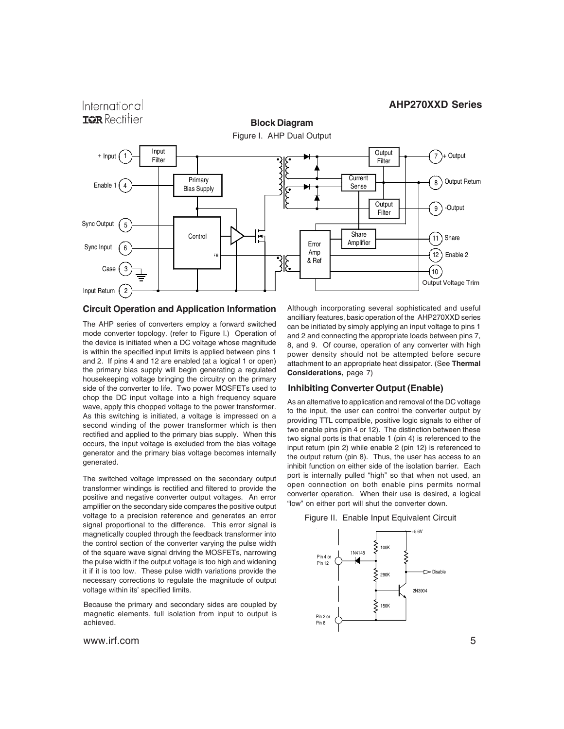

#### **Circuit Operation and Application Information**

The AHP series of converters employ a forward switched mode converter topology. (refer to Figure I.) Operation of the device is initiated when a DC voltage whose magnitude is within the specified input limits is applied between pins 1 and 2. If pins 4 and 12 are enabled (at a logical 1 or open) the primary bias supply will begin generating a regulated housekeeping voltage bringing the circuitry on the primary side of the converter to life. Two power MOSFETs used to chop the DC input voltage into a high frequency square wave, apply this chopped voltage to the power transformer. As this switching is initiated, a voltage is impressed on a second winding of the power transformer which is then rectified and applied to the primary bias supply. When this occurs, the input voltage is excluded from the bias voltage generator and the primary bias voltage becomes internally generated.

The switched voltage impressed on the secondary output transformer windings is rectified and filtered to provide the positive and negative converter output voltages. An error amplifier on the secondary side compares the positive output voltage to a precision reference and generates an error signal proportional to the difference. This error signal is magnetically coupled through the feedback transformer into the control section of the converter varying the pulse width of the square wave signal driving the MOSFETs, narrowing the pulse width if the output voltage is too high and widening it if it is too low. These pulse width variations provide the necessary corrections to regulate the magnitude of output voltage within its' specified limits.

Because the primary and secondary sides are coupled by magnetic elements, full isolation from input to output is achieved.

International

Although incorporating several sophisticated and useful ancilliary features, basic operation of the AHP270XXD series can be initiated by simply applying an input voltage to pins 1 and 2 and connecting the appropriate loads between pins 7, 8, and 9. Of course, operation of any converter with high power density should not be attempted before secure attachment to an appropriate heat dissipator. (See **Thermal Considerations,** page 7)

#### **Inhibiting Converter Output (Enable)**

As an alternative to application and removal of the DC voltage to the input, the user can control the converter output by providing TTL compatible, positive logic signals to either of two enable pins (pin 4 or 12). The distinction between these two signal ports is that enable 1 (pin 4) is referenced to the input return (pin 2) while enable 2 (pin 12) is referenced to the output return (pin 8). Thus, the user has access to an inhibit function on either side of the isolation barrier. Each port is internally pulled "high" so that when not used, an open connection on both enable pins permits normal converter operation. When their use is desired, a logical "low" on either port will shut the converter down.



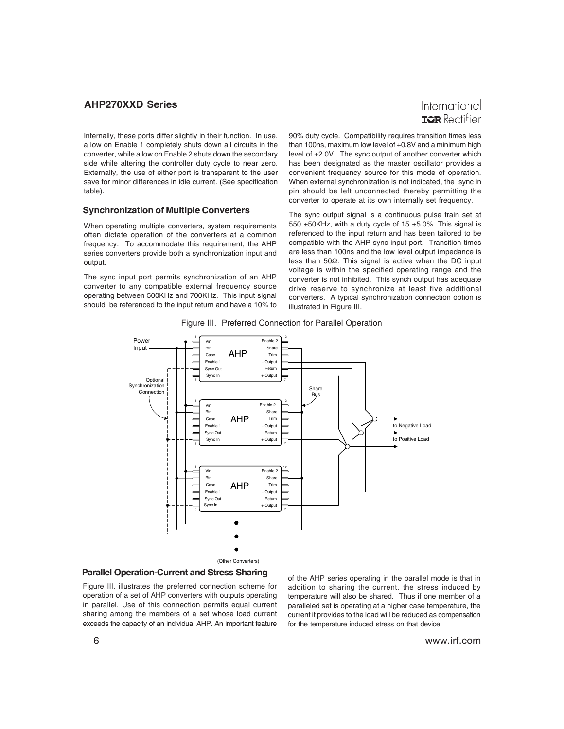

Internally, these ports differ slightly in their function. In use, a low on Enable 1 completely shuts down all circuits in the converter, while a low on Enable 2 shuts down the secondary side while altering the controller duty cycle to near zero. Externally, the use of either port is transparent to the user save for minor differences in idle current. (See specification table).

#### **Synchronization of Multiple Converters**

When operating multiple converters, system requirements often dictate operation of the converters at a common frequency. To accommodate this requirement, the AHP series converters provide both a synchronization input and output.

The sync input port permits synchronization of an AHP converter to any compatible external frequency source operating between 500KHz and 700KHz. This input signal should be referenced to the input return and have a 10% to 90% duty cycle. Compatibility requires transition times less than 100ns, maximum low level of +0.8V and a minimum high level of +2.0V. The sync output of another converter which has been designated as the master oscillator provides a convenient frequency source for this mode of operation. When external synchronization is not indicated, the sync in pin should be left unconnected thereby permitting the converter to operate at its own internally set frequency.

The sync output signal is a continuous pulse train set at 550 ±50KHz, with a duty cycle of 15 ±5.0%. This signal is referenced to the input return and has been tailored to be compatible with the AHP sync input port. Transition times are less than 100ns and the low level output impedance is less than 50Ω. This signal is active when the DC input voltage is within the specified operating range and the converter is not inhibited. This synch output has adequate drive reserve to synchronize at least five additional converters. A typical synchronization connection option is illustrated in Figure III.



Figure III. Preferred Connection for Parallel Operation

#### **Parallel Operation-Current and Stress Sharing**

Figure III. illustrates the preferred connection scheme for operation of a set of AHP converters with outputs operating in parallel. Use of this connection permits equal current sharing among the members of a set whose load current exceeds the capacity of an individual AHP. An important feature

of the AHP series operating in the parallel mode is that in addition to sharing the current, the stress induced by temperature will also be shared. Thus if one member of a paralleled set is operating at a higher case temperature, the current it provides to the load will be reduced as compensation for the temperature induced stress on that device.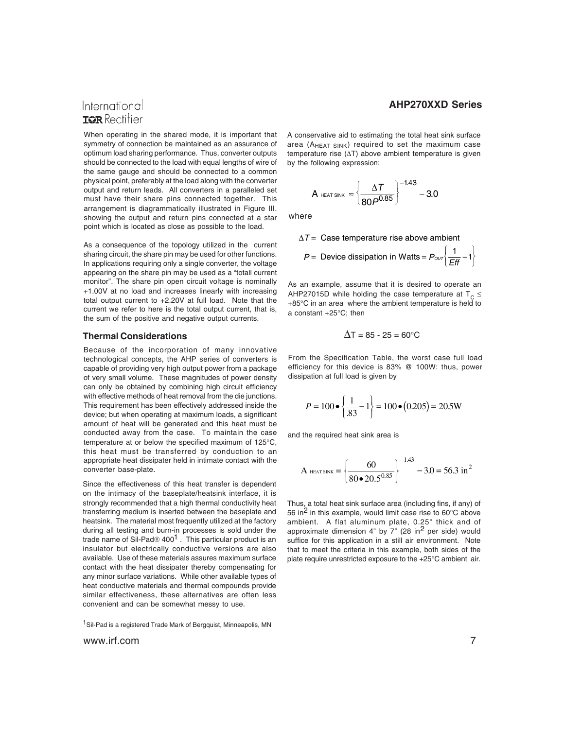#### International **TOR** Rectifier

When operating in the shared mode, it is important that symmetry of connection be maintained as an assurance of optimum load sharing performance. Thus, converter outputs should be connected to the load with equal lengths of wire of the same gauge and should be connected to a common physical point, preferably at the load along with the converter output and return leads. All converters in a paralleled set must have their share pins connected together. This arrangement is diagrammatically illustrated in Figure III. showing the output and return pins connected at a star point which is located as close as possible to the load.

As a consequence of the topology utilized in the current sharing circuit, the share pin may be used for other functions. In applications requiring only a single converter, the voltage appearing on the share pin may be used as a "totall current monitor". The share pin open circuit voltage is nominally +1.00V at no load and increases linearly with increasing total output current to +2.20V at full load. Note that the current we refer to here is the total output current, that is, the sum of the positive and negative output currents.

#### **Thermal Considerations**

Because of the incorporation of many innovative technological concepts, the AHP series of converters is capable of providing very high output power from a package of very small volume. These magnitudes of power density can only be obtained by combining high circuit efficiency with effective methods of heat removal from the die junctions. This requirement has been effectively addressed inside the device; but when operating at maximum loads, a significant amount of heat will be generated and this heat must be conducted away from the case. To maintain the case temperature at or below the specified maximum of 125°C, this heat must be transferred by conduction to an appropriate heat dissipater held in intimate contact with the converter base-plate.

Since the effectiveness of this heat transfer is dependent on the intimacy of the baseplate/heatsink interface, it is strongly recommended that a high thermal conductivity heat transferring medium is inserted between the baseplate and heatsink. The material most frequently utilized at the factory during all testing and burn-in processes is sold under the trade name of Sil-Pad® 400<sup>1</sup>. This particular product is an insulator but electrically conductive versions are also available. Use of these materials assures maximum surface contact with the heat dissipater thereby compensating for any minor surface variations. While other available types of heat conductive materials and thermal compounds provide similar effectiveness, these alternatives are often less convenient and can be somewhat messy to use.

<sup>1</sup>Sil-Pad is a registered Trade Mark of Bergquist, Minneapolis, MN

www.irf.com 7

#### **AHP270XXD Series**

 $\overline{a}$  $\left\{ \right.$ ⎭

A conservative aid to estimating the total heat sink surface area (AHEAT SINK) required to set the maximum case temperature rise (∆T) above ambient temperature is given by the following expression:

$$
A_{\text{ HEAT SINK}} \approx \left\{\frac{\Delta T}{80P^{0.85}}\right\}^{-1.43} - 3.0
$$

where

$$
\Delta T
$$
 = Case temperature rise above ambient  
 $P$  = Device dissipation in Watts =  $P_{ovr} \left( \frac{1}{Eff} - 1 \right)$ 

As an example, assume that it is desired to operate an AHP27015D while holding the case temperature at  $T_c \le$ +85°C in an area where the ambient temperature is held to a constant +25°C; then

$$
\Delta T = 85 - 25 = 60^{\circ} \text{C}
$$

From the Specification Table, the worst case full load efficiency for this device is 83% @ 100W: thus, power dissipation at full load is given by

$$
P = 100 \bullet \left\{ \frac{1}{.83} - 1 \right\} = 100 \bullet (0.205) = 20.5 \text{W}
$$

and the required heat sink area is

$$
A_{\text{ HEAT SNK}} = \left\{ \frac{60}{80 \cdot 20.5^{0.85}} \right\}^{-1.43} - 3.0 = 56.3 \text{ in}^2
$$

Thus, a total heat sink surface area (including fins, if any) of 56 in<sup>2</sup> in this example, would limit case rise to  $60^{\circ}$ C above ambient. A flat aluminum plate, 0.25" thick and of approximate dimension  $4"$  by  $7"$  (28 in<sup>2</sup> per side) would suffice for this application in a still air environment. Note that to meet the criteria in this example, both sides of the plate require unrestricted exposure to the +25°C ambient air.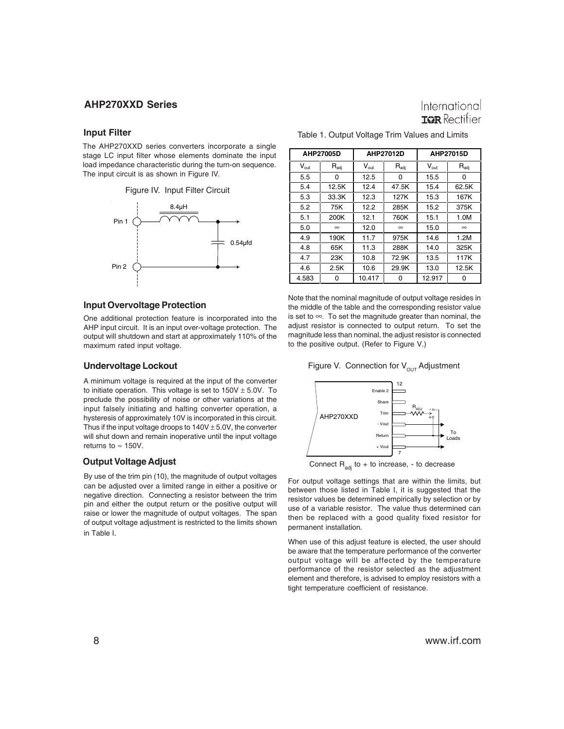#### **Input Filter**

The AHP270XXD series converters incorporate a single stage LC input filter whose elements dominate the input load impedance characteristic during the turn-on sequence. The input circuit is as shown in Figure IV.



#### **Input Overvoltage Protection**

One additional protection feature is incorporated into the AHP input circuit. It is an input over-voltage protection. The output will shutdown and start at approximately 110% of the maximum rated input voltage.

#### **Undervoltage Lockout**

A minimum voltage is required at the input of the converter to initiate operation. This voltage is set to  $150V \pm 5.0V$ . To preclude the possibility of noise or other variations at the input falsely initiating and halting converter operation, a hysteresis of approximately 10V is incorporated in this circuit. Thus if the input voltage droops to  $140V \pm 5.0V$ , the converter will shut down and remain inoperative until the input voltage returns to  $\approx$  150V.

By use of the trim pin (10), the magnitude of output voltages can be adjusted over a limited range in either a positive or negative direction. Connecting a resistor between the trim pin and either the output return or the positive output will raise or lower the magnitude of output voltages. The span of output voltage adjustment is restricted to the limits shown in Table I.

### International **TOR** Rectifier

|                  | AHP27005D        |                  | AHP27012D        | AHP27015D        |                  |  |
|------------------|------------------|------------------|------------------|------------------|------------------|--|
| $V_{\text{out}}$ | $R_{\text{adj}}$ | $V_{\text{out}}$ | $R_{\text{adj}}$ | $V_{\text{out}}$ | $R_{\text{adj}}$ |  |
| 5.5              | 0                | 12.5             | ი                | 15.5             | 0                |  |
| 5.4              | 12.5K            | 12.4             | 47.5K            | 15.4             | 62.5K            |  |
| 5.3              | 33.3K            | 12.3             | 127K             | 15.3             | 167K             |  |
| 5.2              | 75K              | 12.2             | 285K             | 15.2             | 375K             |  |
| 5.1              | 200K             | 12.1             | 760K             | 15.1             | 1.0M             |  |
| 5.0              | $\infty$         | 12.0             | $\infty$         | 15.0             | $\infty$         |  |
| 4.9              | 190K             | 11.7             | 975K             | 14.6             | 1.2M             |  |
| 4.8              | 65K              | 11.3             | 288K             | 14.0             | 325K             |  |
| 4.7              | 23K              | 10.8             | 72.9K            | 13.5             | 117K             |  |
| 4.6              | 2.5K             | 10.6             | 29.9K            | 13.0             | 12.5K            |  |
| 4.583            | Ω                | 10.417           | 0                | 12.917           | O                |  |

| Table 1. Output Voltage Trim Values and Limits |  |  |
|------------------------------------------------|--|--|
|------------------------------------------------|--|--|

Note that the nominal magnitude of output voltage resides in the middle of the table and the corresponding resistor value is set to ∞. To set the magnitude greater than nominal, the adjust resistor is connected to output return. To set the magnitude less than nominal, the adjust resistor is connected to the positive output. (Refer to Figure V.)

#### Figure V. Connection for  $V_{\text{OUT}}$  Adjustment



**Output Voltage Adjust** Connect R<sub>adj</sub> to + to increase, - to decrease

For output voltage settings that are within the limits, but between those listed in Table I, it is suggested that the resistor values be determined empirically by selection or by use of a variable resistor. The value thus determined can then be replaced with a good quality fixed resistor for permanent installation.

When use of this adjust feature is elected, the user should be aware that the temperature performance of the converter output voltage will be affected by the temperature performance of the resistor selected as the adjustment element and therefore, is advised to employ resistors with a tight temperature coefficient of resistance.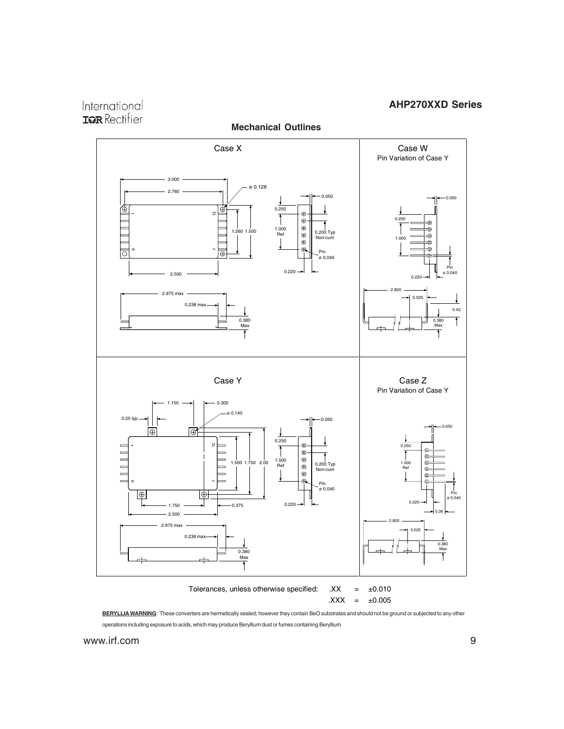International **IGR** Rectifier



**BERYLLIA WARNING**: These converters are hermetically sealed; however they contain BeO substrates and should not be ground or subjected to any other operations including exposure to acids, which may produce Beryllium dust or fumes containing Beryllium

www.irf.com 9